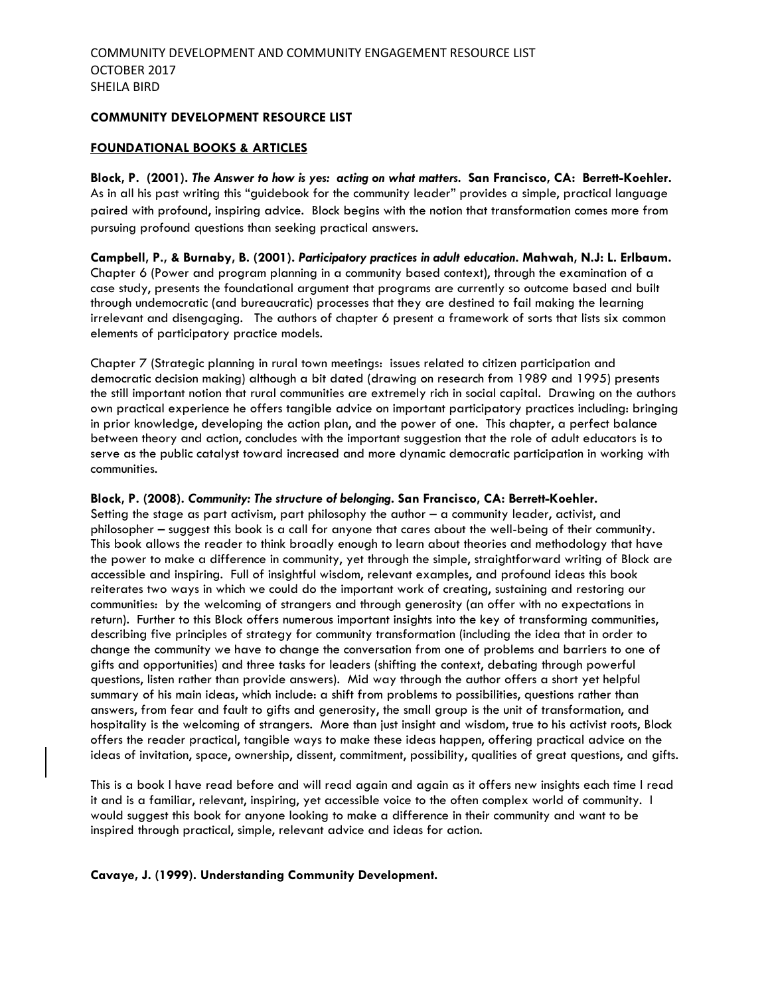#### **COMMUNITY DEVELOPMENT RESOURCE LIST**

#### **FOUNDATIONAL BOOKS & ARTICLES**

**Block, P. (2001).** *The Answer to how is yes: acting on what matters.* **San Francisco, CA: Berrett-Koehler.** As in all his past writing this "guidebook for the community leader" provides a simple, practical language paired with profound, inspiring advice. Block begins with the notion that transformation comes more from pursuing profound questions than seeking practical answers.

**Campbell, P., & Burnaby, B. (2001).** *Participatory practices in adult education***. Mahwah, N.J: L. Erlbaum.**  Chapter 6 (Power and program planning in a community based context), through the examination of a case study, presents the foundational argument that programs are currently so outcome based and built through undemocratic (and bureaucratic) processes that they are destined to fail making the learning irrelevant and disengaging. The authors of chapter 6 present a framework of sorts that lists six common elements of participatory practice models.

Chapter 7 (Strategic planning in rural town meetings: issues related to citizen participation and democratic decision making) although a bit dated (drawing on research from 1989 and 1995) presents the still important notion that rural communities are extremely rich in social capital. Drawing on the authors own practical experience he offers tangible advice on important participatory practices including: bringing in prior knowledge, developing the action plan, and the power of one. This chapter, a perfect balance between theory and action, concludes with the important suggestion that the role of adult educators is to serve as the public catalyst toward increased and more dynamic democratic participation in working with communities.

#### **Block, P. (2008).** *Community: The structure of belonging***. San Francisco, CA: Berrett-Koehler.**

Setting the stage as part activism, part philosophy the author  $-$  a community leader, activist, and philosopher – suggest this book is a call for anyone that cares about the well-being of their community. This book allows the reader to think broadly enough to learn about theories and methodology that have the power to make a difference in community, yet through the simple, straightforward writing of Block are accessible and inspiring. Full of insightful wisdom, relevant examples, and profound ideas this book reiterates two ways in which we could do the important work of creating, sustaining and restoring our communities: by the welcoming of strangers and through generosity (an offer with no expectations in return). Further to this Block offers numerous important insights into the key of transforming communities, describing five principles of strategy for community transformation (including the idea that in order to change the community we have to change the conversation from one of problems and barriers to one of gifts and opportunities) and three tasks for leaders (shifting the context, debating through powerful questions, listen rather than provide answers). Mid way through the author offers a short yet helpful summary of his main ideas, which include: a shift from problems to possibilities, questions rather than answers, from fear and fault to gifts and generosity, the small group is the unit of transformation, and hospitality is the welcoming of strangers. More than just insight and wisdom, true to his activist roots, Block offers the reader practical, tangible ways to make these ideas happen, offering practical advice on the ideas of invitation, space, ownership, dissent, commitment, possibility, qualities of great questions, and gifts.

This is a book I have read before and will read again and again as it offers new insights each time I read it and is a familiar, relevant, inspiring, yet accessible voice to the often complex world of community. I would suggest this book for anyone looking to make a difference in their community and want to be inspired through practical, simple, relevant advice and ideas for action.

#### **Cavaye, J. (1999). Understanding Community Development.**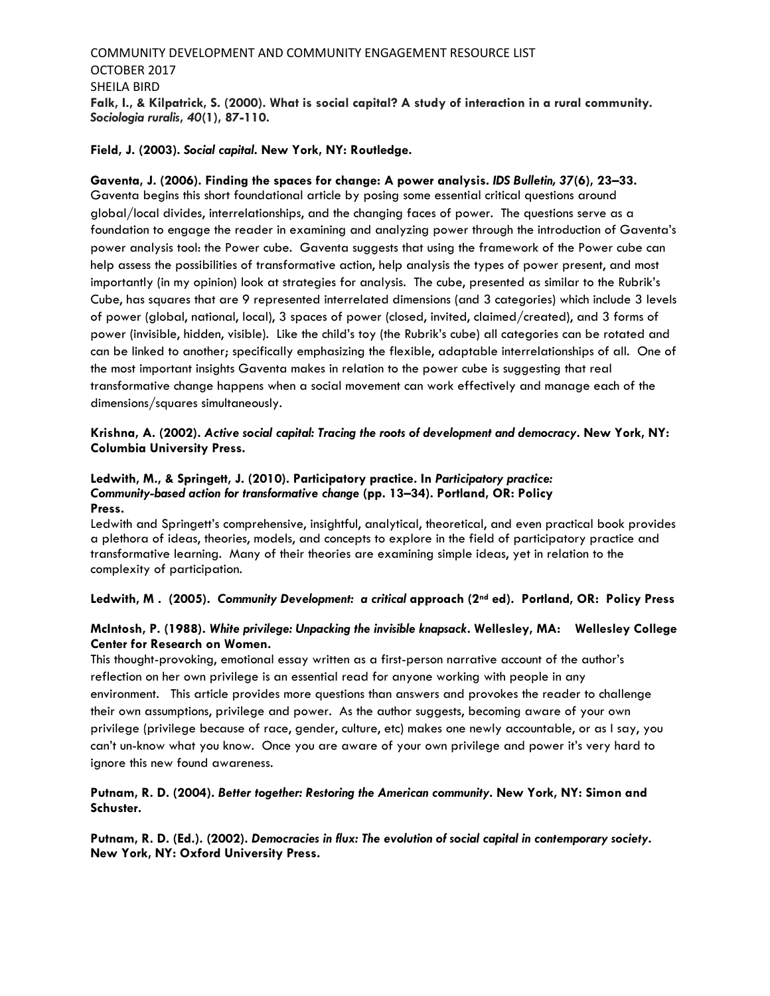# COMMUNITY DEVELOPMENT AND COMMUNITY ENGAGEMENT RESOURCE LIST OCTOBER 2017 SHEILA BIRD **Falk, I., & Kilpatrick, S. (2000). What is social capital? A study of interaction in a rural community.**  *Sociologia ruralis***,** *40***(1), 87-110.**

#### **Field, J. (2003).** *Social capital***. New York, NY: Routledge.**

# **Gaventa, J. (2006). Finding the spaces for change: A power analysis.** *IDS Bulletin, 37***(6), 23–33.**

Gaventa begins this short foundational article by posing some essential critical questions around global/local divides, interrelationships, and the changing faces of power. The questions serve as a foundation to engage the reader in examining and analyzing power through the introduction of Gaventa's power analysis tool: the Power cube. Gaventa suggests that using the framework of the Power cube can help assess the possibilities of transformative action, help analysis the types of power present, and most importantly (in my opinion) look at strategies for analysis. The cube, presented as similar to the Rubrik's Cube, has squares that are 9 represented interrelated dimensions (and 3 categories) which include 3 levels of power (global, national, local), 3 spaces of power (closed, invited, claimed/created), and 3 forms of power (invisible, hidden, visible). Like the child's toy (the Rubrik's cube) all categories can be rotated and can be linked to another; specifically emphasizing the flexible, adaptable interrelationships of all. One of the most important insights Gaventa makes in relation to the power cube is suggesting that real transformative change happens when a social movement can work effectively and manage each of the dimensions/squares simultaneously.

### **Krishna, A. (2002).** *Active social capital: Tracing the roots of development and democracy***. New York, NY: Columbia University Press.**

#### **Ledwith, M., & Springett, J. (2010). Participatory practice. In** *Participatory practice: Community-based action for transformative change* **(pp. 13–34). Portland, OR: Policy Press.**

Ledwith and Springett's comprehensive, insightful, analytical, theoretical, and even practical book provides a plethora of ideas, theories, models, and concepts to explore in the field of participatory practice and transformative learning. Many of their theories are examining simple ideas, yet in relation to the complexity of participation.

#### **Ledwith, M . (2005).** *Community Development: a critical* **approach (2nd ed). Portland, OR: Policy Press**

#### **McIntosh, P. (1988).** *White privilege: Unpacking the invisible knapsack***. Wellesley, MA: Wellesley College Center for Research on Women.**

This thought-provoking, emotional essay written as a first-person narrative account of the author's reflection on her own privilege is an essential read for anyone working with people in any environment. This article provides more questions than answers and provokes the reader to challenge their own assumptions, privilege and power. As the author suggests, becoming aware of your own privilege (privilege because of race, gender, culture, etc) makes one newly accountable, or as I say, you can't un-know what you know. Once you are aware of your own privilege and power it's very hard to ignore this new found awareness.

## **Putnam, R. D. (2004).** *Better together: Restoring the American community***. New York, NY: Simon and Schuster.**

**Putnam, R. D. (Ed.). (2002).** *Democracies in flux: The evolution of social capital in contemporary society***. New York, NY: Oxford University Press.**